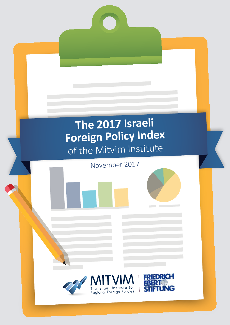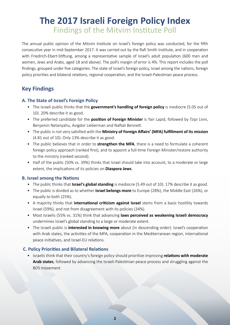# **The 2017 Israeli Foreign Policy Index** Findings of the Mitvim Institute Poll

The annual public opinion of the Mitvim Institute on Israel's foreign policy was conducted, for the fifth consecutive year in mid-September 2017. It was carried out by the Rafi Smith Institute, and in cooperation with Friedrich-Ebert-Stiftung, among a representative sample of Israel's adult population (600 men and women, Jews and Arabs, aged 18 and above). The poll's margin of error is 4%. This report includes the poll findings, grouped under five categories: The state of Israel's foreign policy, Israel among the nations, foreign policy priorities and bilateral relations, regional cooperation, and the Israeli-Palestinian peace process.

# **Key Findings**

#### **A. The State of Israel's Foreign Policy**

- The Israeli public thinks that the **government's handling of foreign policy** is mediocre (5.05 out of 10). 20% describe it as good.
- The preferred candidate for the **position of Foreign Minister** is Yair Lapid, followed by Tzipi Livni, Benjamin Netanyahu, Avigdor Lieberman and Naftali Bennett.
- **•** The public is not very satisfied with the **Ministry of Foreign Affairs' (MFA) fulfillment of its mission**  $(4.81$  out of 10). Only 13% describe it as good.
- The public believes that in order to **strengthen the MFA**, there is a need to formulate a coherent foreign policy approach (ranked first), and to appoint a full-time Foreign Minister/restore authority to the ministry (ranked second).
- Half of the public (50% vs. 39%) thinks that Israel should take into account, to a moderate or large extent, the implications of its policies on **Diaspora Jews**.

#### **B. Israel among the Nations**

- The public thinks that **Israel's global standing** is mediocre (5.49 out of 10). 17% describe it as good.
- The public is divided as to whether **Israel belongs more** to Europe (28%), the Middle East (26%), or equally to both (25%).
- A majority thinks that **international criticism against Israel** stems from a basic hostility towards Israel (59%), and not from disagreement with its policies (34%).
- Most Israelis (55% vs. 31%) think that advancing laws perceived as weakening Israeli democracy undermines Israel's global standing to a large or moderate extent.
- The Israeli public is **interested in knowing more** about (in descending order): Israel's cooperation with Arab states, the activities of the MFA, cooperation in the Mediterranean region, international peace initiatives, and Israel-EU relations.

# **C. Policy Priorities and Bilateral Relations**

**•** Israelis think that their country's foreign policy should prioritize improving relations with moderate Arab states, followed by advancing the Israeli-Palestinian peace process and struggling against the BDS movement.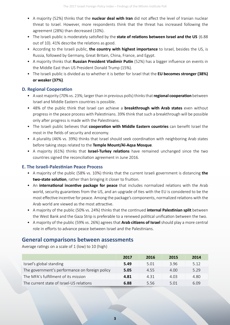- A majority (52%) thinks that the **nuclear deal with Iran** did not affect the level of Iranian nuclear threat to Israel. However, more respondents think that the threat has increased following the agreement (28%) than decreased (10%).
- The Israeli public is moderately satisfied by the **state of relations between Israel and the US** (6.88) out of 10). 41% describe the relations as good.
- According to the Israeli public, **the country with highest importance** to Israel, besides the US, is Russia, followed by Germany, Great Britain, China, France, and Egypt.
- A majority thinks that **Russian President Vladimir Putin** (52%) has a bigger influence on events in the Middle East than US President Donald Trump (15%).
- The Israeli public is divided as to whether it is better for Israel that the **EU becomes stronger (38%) or** weaker (37%).

#### **D. Regional Cooperation**

- **•** A vast majority (70% vs. 23%; larger than in previous polls) thinks that **regional cooperation** between Israel and Middle Eastern countries is possible.
- 48% of the public think that Israel can achieve a **breakthrough with Arab states** even without progress in the peace process with Palestinians. 39% think that such a breakthrough will be possible only after progress is made with the Palestinians.
- The Israeli public believes that **cooperation with Middle Eastern countries** can benefit Israel the most in the fields of security and economy.
- A plurality (46% vs. 39%) thinks that Israel should seek coordination with neighboring Arab states before taking steps related to the Temple Mount/Al-Aqsa Mosque.
- A majority (61%) thinks that **Israel-Turkey relations** have remained unchanged since the two countries signed the reconciliation agreement in June 2016.

#### **E. The Israeli-Palestinian Peace Process**

- **•** A majority of the public (58% vs. 10%) thinks that the current Israeli government is distancing the two-state solution, rather than bringing it closer to fruition.
- An **international incentive package for peace** that includes normalized relations with the Arab world, security guarantees from the US, and an upgrade of ties with the EU is considered to be the most effective incentive for peace. Among the package's components, normalized relations with the Arab world are viewed as the most attractive.
- A majority of the public (50% vs. 24%) thinks that the continued **internal Palestinian split** between the West Bank and the Gaza Strip is preferable to a renewed political unification between the two.
- **•** A majority of the public (59% vs. 26%) agrees that **Arab citizens of Israel** should play a more central role in efforts to advance peace between Israel and the Palestinians.

# **General comparisons between assessments**

Average ratings on a scale of  $1$  (low) to  $10$  (high)

|                                                | 2017 | 2016 | 2015  | 2014 |
|------------------------------------------------|------|------|-------|------|
| Israel's global standing                       | 5.49 | 5.01 | 3.96  | 5.12 |
| The government's performance on foreign policy | 5.05 | 4.55 | 4.00  | 5.29 |
| The MFA's fulfillment of its mission           | 4.81 | 4 31 | 4.03  | 4.80 |
| The current state of Israel-US relations       | 6.88 | 5.56 | 5 Q 1 | 6.09 |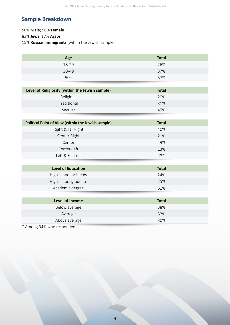# **Sample Breakdown**

# **50% Male**; **50% Female** 83% **Jews**; 17% **Arabs** 15% **Russian immigrants** (within the Jewish sample)

| Age   | <b>Total</b> |
|-------|--------------|
| 18-29 | 26%          |
| 30-49 | 37%          |
| $50+$ | 37%          |

| Level of Religiosity (within the Jewish sample) | Total |
|-------------------------------------------------|-------|
| Religious                                       | 20%   |
| Traditional                                     | 31%   |
| Secular                                         | 49%   |

| Political Point of View (within the Jewish sample) | <b>Total</b> |
|----------------------------------------------------|--------------|
| Right & Far Right                                  | 40%          |
| Center-Right                                       | 21%          |
| Center                                             | 19%          |
| Center-Left                                        | 13%          |
| Left & Far Left                                    | 7%           |

| <b>Level of Education</b> | <b>Total</b> |
|---------------------------|--------------|
| High school or below      | 24%          |
| High school graduate      | 25%          |
| Academic degree           | 51%          |

| Level of Income                                                                     | <b>Total</b> |
|-------------------------------------------------------------------------------------|--------------|
| Below average                                                                       | 38%          |
| Average                                                                             | 32%          |
| Above average                                                                       | 30%          |
| $\mathbf{a}$ $\mathbf{b}$ $\mathbf{a}$<br>$\sim$ $\sim$ $\sim$ $\sim$ $\sim$ $\sim$ |              |

\* Among 94% who responded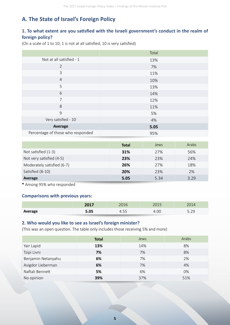# **A. The State of Israel's Foreign Policy**

# 1. To what extent are you satisfied with the Israeli government's conduct in the realm of foreign policy?

(On a scale of 1 to 10; 1 is not at all satisfied, 10 is very satisfied)

|                                   | Total |
|-----------------------------------|-------|
| Not at all satisfied - 1          | 13%   |
| $\overline{2}$                    | 7%    |
| $\mathbf{3}$                      | 11%   |
| $\overline{4}$                    | 10%   |
| 5                                 | 13%   |
| 6                                 | 14%   |
| $\overline{7}$                    | 12%   |
| 8                                 | 11%   |
| 9                                 | 5%    |
| Very satisfied - 10               | 4%    |
| Average                           | 5.05  |
| Percentage of those who responded | 95%   |

|                            | <b>Total</b> | Jews | Arabs |
|----------------------------|--------------|------|-------|
| Not satisfied (1-3)        | 31%          | 27%  | 56%   |
| Not very satisfied (4-5)   | 23%          | 23%  | 24%   |
| Moderately satisfied (6-7) | 26%          | 27%  | 18%   |
| Satisfied (8-10)           | <b>20%</b>   | 23%  | 2%    |
| Average                    | 5.05         | 5.34 | 3.29  |

 $*$  Among 95% who responded

#### **Comparisons with previous years:**

|         | 2017 | 2016 | $\bigcap$ $\bigcap$ 1 $\bigcap$<br>∠∪⊥∪ | 2011<br>2014   |
|---------|------|------|-----------------------------------------|----------------|
| Average | 5.05 | 1.JJ | 4.00                                    | ה ה<br>ر ے . ر |

#### 2. Who would you like to see as Israel's foreign minister?

(This was an open question. The table only includes those receiving 5% and more)

|                    | <b>Total</b> | Jews | Arabs |
|--------------------|--------------|------|-------|
| Yair Lapid         | 13%          | 14%  | 8%    |
| Tzipi Livni        | 7%           | 7%   | 8%    |
| Benjamin Netanyahu | 6%           | 7%   | 2%    |
| Avigdor Lieberman  | 6%           | 7%   | 4%    |
| Naftali Bennett    | 5%           | 6%   | 0%    |
| No opinion         | 39%          | 37%  | 51%   |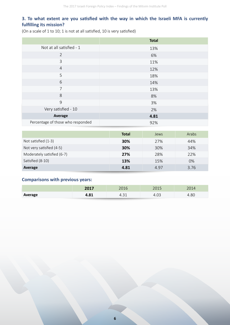#### 3. To what extent are you satisfied with the way in which the Israeli MFA is currently **fulfilling** its mission?

(On a scale of 1 to 10; 1 is not at all satisfied, 10 is very satisfied)

|                                   | <b>Total</b> |
|-----------------------------------|--------------|
| Not at all satisfied - 1          | 13%          |
| $\overline{2}$                    | 6%           |
| 3                                 | 11%          |
| $\overline{4}$                    | 12%          |
| 5                                 | 18%          |
| 6                                 | 14%          |
| 7                                 | 13%          |
| 8                                 | 8%           |
| $\overline{9}$                    | 3%           |
| Very satisfied - 10               | 2%           |
| Average                           | 4.81         |
| Percentage of those who responded | 92%          |

|                            | <b>Total</b> | Jews | Arabs |
|----------------------------|--------------|------|-------|
| Not satisfied (1-3)        | 30%          | 27%  | 44%   |
| Not very satisfied (4-5)   | 30%          | 30%  | 34%   |
| Moderately satisfied (6-7) | 27%          | 28%  | 22%   |
| Satisfied (8-10)           | 13%          | 15%  | 0%    |
| Average                    | 4.81         | 4.97 | 3.76  |

#### **Comparisons with previous years:**

|         | 2017 | 2016   | つへ1 ロ<br>ムロエコ | 2014 |
|---------|------|--------|---------------|------|
| Average | 4.81 | т.  →⊥ | 4.UJ          | 1.80 |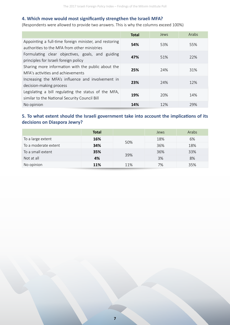#### **4. Which move would most significantly strengthen the Israeli MFA?**

(Respondents were allowed to provide two answers. This is why the columns exceed 100%)

|                                                                                                        | <b>Total</b> | Jews | Arabs |
|--------------------------------------------------------------------------------------------------------|--------------|------|-------|
| Appointing a full-time foreign minister, and restoring<br>authorities to the MFA from other ministries | 54%          | 53%  | 55%   |
| Formulating clear objectives, goals, and guiding<br>principles for Israeli foreign policy              | 47%          | 51%  | 22%   |
| Sharing more information with the public about the<br>MFA's activities and achievements                | 25%          | 24%  | 31%   |
| Increasing the MFA's influence and involvement in<br>decision-making process                           | 23%          | 74%  | 12%   |
| Legislating a bill regulating the status of the MFA,<br>similar to the National Security Council Bill  | 19%          | 20%  | 14%   |
| No opinion                                                                                             | 14%          | 12%  | 29%   |

# 5. To what extent should the Israeli government take into account the implications of its decisions on Diaspora Jewry?

|                      | <b>Total</b> |     | Jews | Arabs |
|----------------------|--------------|-----|------|-------|
| To a large extent    | 16%          | 50% | 18%  | 6%    |
| To a moderate extent | 34%          |     | 36%  | 18%   |
| To a small extent    | 35%          |     | 36%  | 33%   |
| Not at all           | 4%           | 39% | 3%   | 8%    |
| No opinion           | 11%          | 11% | 7%   | 35%   |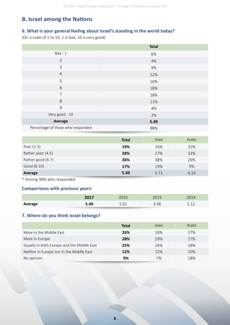# **B. Israel among the Nations**

#### 6. What is your general feeling about Israel's standing in the world today?

(On a scale of  $1$  to 10; 1 is bad, 10 is very good)

|                                   | <b>Total</b> |
|-----------------------------------|--------------|
| $Bad - 1$                         | 6%           |
| $\overline{2}$                    | 4%           |
| 3                                 | 9%           |
| $\overline{4}$                    | 12%          |
| 5                                 | 16%          |
| 6                                 | 18%          |
| $\overline{7}$                    | 18%          |
| 8                                 | 11%          |
| 9                                 | 4%           |
| Very good - 10                    | 2%           |
| Average                           | 5.49         |
| Percentage of those who responded | 98%          |

|                   | <b>Total</b> | Jews | Arabs |
|-------------------|--------------|------|-------|
| Poor $(1-3)$      | 19%          | 16%  | 32%   |
| Rather poor (4-5) | 28%          | 27%  | 33%   |
| Rather good (6-7) | 36%          | 38%  | 26%   |
| Good (8-10)       | 17%          | 19%  | 9%    |
| Average           | 5.49         | 5.71 | 4.19  |

\* Among 98% who responded

# **Comparisons with previous years:**

|         | 2017<br>ZUI7 | 201C           | $\cap \cap$<br>∠∪⊥∪ |                                 |
|---------|--------------|----------------|---------------------|---------------------------------|
| Average | 5.49         | $\sim$<br>しぃしょ | 3.96                | $\Gamma$ 1 $\gamma$<br><u>.</u> |

# **7. Where do you think Israel belongs?**

|                                            | Total | Jews | Arabs |
|--------------------------------------------|-------|------|-------|
| More in the Middle East                    | 26%   | 26%  | 27%   |
| More in Europe                             | 28%   | 29%  | 27%   |
| Equally in both Europe and the Middle East | 25%   | 26%  | 18%   |
| Neither in Europe nor in the Middle East   | 12%   | 12%  | 10%   |
| No opinion                                 | 9%    | 7%   | 18%   |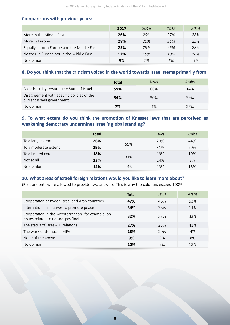#### **Comparisons with previous years:**

|                                            | 2017 | 2016 | 2015 | 2014 |
|--------------------------------------------|------|------|------|------|
| More in the Middle East                    | 26%  | 29%  | 27%  | 28%  |
| More in Europe                             | 28%  | 26%  | .31% | 25%  |
| Equally in both Europe and the Middle East | 25%  | 23%  | 26%  | 28%  |
| Neither in Europe nor in the Middle East   | 12%  | 15%  | 10%  | 16%  |
| No opinion                                 | 9%   | 7%   | 6%   | 3%   |

#### 8. Do you think that the criticism voiced in the world towards Israel stems primarily from:

|                                                                          | <b>Total</b> | Jews | Arabs |
|--------------------------------------------------------------------------|--------------|------|-------|
| Basic hostility towards the State of Israel                              | 59%          | 66%  | 14%   |
| Disagreement with specific policies of the<br>current Israeli government | 34%          | 30%  | 59%   |
| No opinion                                                               | 7%           | 4%   | 27%   |

# 9. To what extent do you think the promotion of Knesset laws that are perceived as **weakening democracy undermines Israel's global standing?**

|                      | <b>Total</b> |     | Jews | Arabs |
|----------------------|--------------|-----|------|-------|
| To a large extent    | 26%          |     | 23%  | 44%   |
| To a moderate extent | 29%          | 55% | 31%  | 20%   |
| To a limited extent  | 18%          |     | 19%  | 10%   |
| Not at all           | 13%          | 31% | 14%  | 8%    |
| No opinion           | 14%          | 14% | 13%  | 18%   |

#### 10. What areas of Israeli foreign relations would you like to learn more about?

(Respondents were allowed to provide two answers. This is why the columns exceed 100%)

|                                                                                             | <b>Total</b> | Jews | Arabs |
|---------------------------------------------------------------------------------------------|--------------|------|-------|
| Cooperation between Israel and Arab countries                                               | 47%          | 46%  | 53%   |
| International initiatives to promote peace                                                  | 34%          | 38%  | 14%   |
| Cooperation in the Mediterranean- for example, on<br>issues related to natural gas findings | 32%          | 32%  | 33%   |
| The status of Israel-EU relations                                                           | 27%          | 25%  | 41%   |
| The work of the Israeli MFA                                                                 | 18%          | 20%  | 4%    |
| None of the above                                                                           | 9%           | 9%   | 8%    |
| No opinion                                                                                  | 10%          | 9%   | 18%   |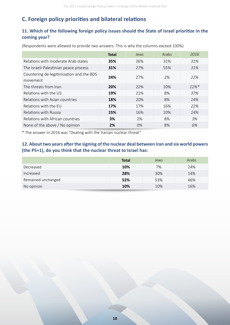# **C. Foreign policy priorities and bilateral relations**

# 11. Which of the following foreign policy issues should the State of Israel prioritize in the **coming** year?

(Respondents were allowed to provide two answers. This is why the columns exceed 100%)

|                                                      | <b>Total</b> | Jews  | Arabs | 2016                |
|------------------------------------------------------|--------------|-------|-------|---------------------|
| Relations with moderate Arab states                  | 35%          | 36%   | 31%   | 31%                 |
| The Israeli-Palestinian peace process                | 31%          | 27%   | 55%   | 31%                 |
| Countering de-legitimization and the BDS<br>movement | 24%          | 27%   | 2%    | 22%                 |
| The threats from Iran                                | 20%          | 22%   | 10%   | $12\%$ <sup>*</sup> |
| Relations with the US                                | 19%          | 21%   | 8%    | 37%                 |
| Relations with Asian countries                       | 18%          | 20%   | 8%    | 14%                 |
| Relations with the FU                                | 17%          | 17%   | 16%   | 22%                 |
| Relations with Russia                                | 15%          | 16%   | 10%   | 14%                 |
| Relations with African countries                     | 3%           | 2%    | 8%    | 3%                  |
| None of the above / No opinion                       | 2%           | $0\%$ | 8%    | 6%                  |

\* The answer in 2016 was "Dealing with the Iranian nuclear threat"

# 12. About two years after the signing of the nuclear deal between Iran and six world powers (the P5+1), do you think that the nuclear threat to Israel has:

|                    | <b>Total</b> | Jews | Arabs |
|--------------------|--------------|------|-------|
| Decreased          | 10%          | 7%   | 24%   |
| Increased          | 28%          | 30%  | 14%   |
| Remained unchanged | 52%          | 53%  | 46%   |
| No opinion         | 10%          | 10%  | 16%   |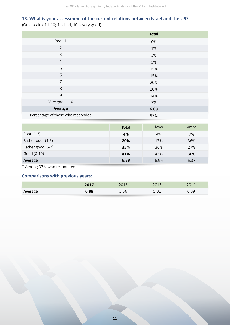# **13. What is your assessment of the current relations between Israel and the US?**

(On a scale of 1-10; 1 is bad, 10 is very good)

|                                   | <b>Total</b> |
|-----------------------------------|--------------|
| $Bad - 1$                         | 0%           |
| $\overline{2}$                    | 1%           |
| $\mathsf{3}$                      | 3%           |
| $\overline{4}$                    | 5%           |
| 5                                 | 15%          |
| 6                                 | 15%          |
| $\overline{7}$                    | 20%          |
| 8                                 | 20%          |
| 9                                 | 14%          |
| Very good - 10                    | 7%           |
| Average                           | 6.88         |
| Percentage of those who responded | 97%          |

| <b>Total</b> | <b>Jews</b> | Arabs |
|--------------|-------------|-------|
| 4%           | 4%          | 7%    |
| 20%          | 17%         | 36%   |
| 35%          | 36%         | 27%   |
| 41%          | 43%         | 30%   |
| 6.88         | 6.96        | 6.38  |
|              |             |       |

\* Among 97% who responded

# **Comparisons with previous years:**

|         | 2017 | 2016 | 301 E<br>∠∪⊥ | 2014      |
|---------|------|------|--------------|-----------|
| Average | 6.88 | 5.56 | E N1<br>J.UI | 6.09<br>∽ |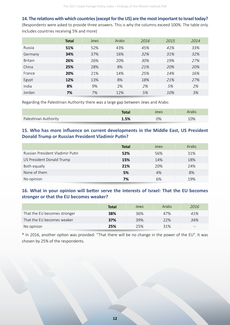**14. The relations with which countries (except for the US) are the most important to Israel today?** 

(Respondents were asked to provide three answers. This is why the columns exceed 100%. The table only includes countries receiving 5% and more)

|                | <b>Total</b> | Jews | Arabs | 2016 | 2015 | 2014 |
|----------------|--------------|------|-------|------|------|------|
| Russia         | 51%          | 52%  | 43%   | 45%  | 41%  | 33%  |
| Germany        | 34%          | 37%  | 16%   | 32%  | 31%  | 32%  |
| <b>Britain</b> | 26%          | 26%  | 20%   | 30%  | 19%  | 27%  |
| China          | 25%          | 28%  | 8%    | 21%  | 20%  | 20%  |
| France         | 20%          | 21%  | 14%   | 25%  | 14%  | 16%  |
| Egypt          | 12%          | 13%  | 8%    | 18%  | 21%  | 27%  |
| India          | 8%           | 9%   | 2%    | 2%   | 5%   | 2%   |
| Jordan         | 7%           | 7%   | 12%   | 5%   | 10%  | 3%   |

Regarding the Palestinian Authority there was a large gap between Jews and Arabs:

|                       | <b>Total</b> | Jews | Arabs |
|-----------------------|--------------|------|-------|
| Palestinian Authority | 1.5%         | 0%   | 10%   |

#### 15. Who has more influence on current developments in the Middle East, US President **Donald Trump or Russian President Vladimir Putin?**

|                                  | <b>Total</b> | Jews | Arabs |
|----------------------------------|--------------|------|-------|
| Russian President Vladimir Putin | 52%          | 56%  | 31%   |
| US President Donald Trump        | 15%          | 14%  | 18%   |
| Both equally                     | 21%          | 20%  | 24%   |
| None of them                     | 5%           | 4%   | 8%    |
| No opinion                       | 7%           | 6%   | 19%   |

#### 16. What in your opinion will better serve the interests of Israel: That the EU becomes stronger or that the EU becomes weaker?

|                              | <b>Total</b> | Jews | Arabs | 2016  |
|------------------------------|--------------|------|-------|-------|
| That the EU becomes stronger | 38%          | 36%  | 47%   | 41%   |
| That the EU becomes weaker   | 37%          | 39%  | 22%   | 34%   |
| No opinion                   | 25%          | 25%  | 31%   | $- -$ |

\* In 2016, another option was provided: "That there will be no change in the power of the EU". It was chosen by 25% of the respondents.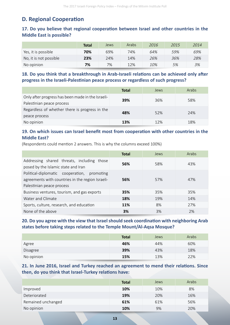# **D. Regional Cooperation**

# 17. Do you believe that regional cooperation between Israel and other countries in the **Middle East is possible?**

|                        | Total | Jews | Arabs | 2016 | 2015 | 2014 |
|------------------------|-------|------|-------|------|------|------|
| Yes, it is possible    | 70%   | 69%  | 74%   | 64%  | 59%  | 69%  |
| No, it is not possible | 23%   | 24%  | 14%   | 26%  | 36%  | 28%  |
| No opinion             | 7%    | 7%   | 12%   | 10%  | 5%   | 3%   |

18. Do you think that a breakthrough in Arab-Israeli relations can be achieved only after progress in the Israeli-Palestinian peace process or regardless of such progress?

|                                                                                | <b>Total</b> | Jews | Arabs |
|--------------------------------------------------------------------------------|--------------|------|-------|
| Only after progress has been made in the Israeli-<br>Palestinian peace process | 39%          | 36%  | 58%   |
| Regardless of whether there is progress in the<br>peace process                | 48%          | 52%  | 24%   |
| No opinion                                                                     | 13%          | 12%  | 18%   |

# 19. On which issues can Israel benefit most from cooperation with other countries in the **Middle East?**

(Respondents could mention 2 answers. This is why the columns exceed 100%)

|                                                                                                                              | Total | Jews | Arabs |
|------------------------------------------------------------------------------------------------------------------------------|-------|------|-------|
| Addressing shared threats, including those<br>posed by the Islamic state and Iran                                            | 56%   | 58%  | 43%   |
| Political-diplomatic cooperation, promoting<br>agreements with countries in the region Israeli-<br>Palestinian peace process | 56%   | 57%  | 47%   |
| Business ventures, tourism, and gas exports                                                                                  | 35%   | 35%  | 35%   |
| Water and Climate                                                                                                            | 18%   | 19%  | 14%   |
| Sports, culture, research, and education                                                                                     | 11%   | 8%   | 27%   |
| None of the above                                                                                                            | 3%    | 3%   | 2%    |

# **20. Do you agree with the view that Israel should seek coordination with neighboring Arab** states before taking steps related to the Temple Mount/Al-Aqsa Mosque?

|            | <b>Total</b> | Jews | Arabs |
|------------|--------------|------|-------|
| Agree      | 46%          | 44%  | 60%   |
| Disagree   | 39%          | 43%  | 18%   |
| No opinion | 15%          | 13%  | 22%   |

### 21. In June 2016, Israel and Turkey reached an agreement to mend their relations. Since then, do you think that Israel-Turkey relations have:

|                    | <b>Total</b> | Jews | Arabs |
|--------------------|--------------|------|-------|
| Improved           | 10%          | 10%  | 8%    |
| Deteriorated       | 19%          | 20%  | 16%   |
| Remained unchanged | 61%          | 61%  | 56%   |
| No opinion         | 10%          | 9%   | 20%   |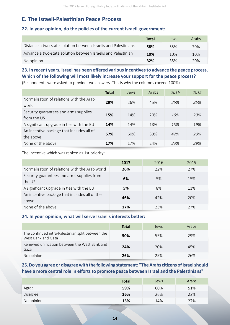# **E. The Israeli-Palestinian Peace Process**

### **22. In your opinion, do the policies of the current Israeli government:**

|                                                                 | Total | <b>Jews</b> | Arabs |
|-----------------------------------------------------------------|-------|-------------|-------|
| Distance a two-state solution between Israelis and Palestinians | 58%   | 55%         | 70%   |
| Advance a two-state solution between Israelis and Palestinian   | 10%   | 10%         | 10%   |
| No opinion                                                      | 32%   | 35%         | 20%   |

# **23. In recent years, Israel has been offered various incentives to advance the peace process.** Which of the following will most likely increase your support for the peace process?

(Respondents were asked to provide two answers. This is why the columns exceed 100%)

|                                                        | <b>Total</b> | Jews | Arabs | 2016 | 2015 |
|--------------------------------------------------------|--------------|------|-------|------|------|
| Normalization of relations with the Arab<br>world      | 29%          | 26%  | 45%   | 25%  | 35%  |
| Security guarantees and arms supplies<br>from the US   | 15%          | 14%  | 20%   | 19%  | 23%  |
| A significant upgrade in ties with the EU              | 14%          | 14%  | 18%   | 18%  | 19%  |
| An incentive package that includes all of<br>the above | 57%          | 60%  | 39%   | 42%  | 20%  |
| None of the above                                      | 17%          | 17%  | 24%   | 23%  | 29%  |

The incentive which was ranked as 1st priority:

|                                                        | 2017 | 2016 | 2015 |
|--------------------------------------------------------|------|------|------|
| Normalization of relations with the Arab world         | 26%  | 22%  | 27%  |
| Security guarantees and arms supplies from<br>the US   | 6%   | 5%   | 15%  |
| A significant upgrade in ties with the EU              | 5%   | 8%   | 11%  |
| An incentive package that includes all of the<br>above | 46%  | 42%  | 20%  |
| None of the above                                      | 17%  | 23%  | 27%  |

#### **24. In your opinion, what will serve Israel's interests better:**

|                                                                         | <b>Total</b> | Jews | Arabs |
|-------------------------------------------------------------------------|--------------|------|-------|
| The continued intra-Palestinian split between the<br>West Bank and Gaza | 50%          | 55%  | 29%   |
| Renewed unification between the West Bank and<br>Gaza                   | 24%          | 20%  | 45%   |
| No opinion                                                              | 26%          | 25%  | 26%   |

## **25. Do you agree or disagree with the following statement: "The Arabs citizens of Israel should** have a more central role in efforts to promote peace between Israel and the Palestinians"

|            | <b>Total</b> | Jews | Arabs |
|------------|--------------|------|-------|
| Agree      | 59%          | 60%  | 51%   |
| Disagree   | 26%          | 26%  | 22%   |
| No opinion | 15%<br>_____ | 14%  | 27%   |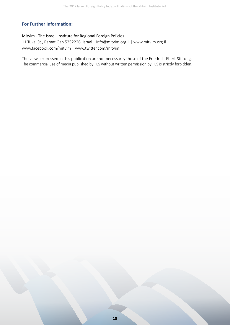# **For Further Information:**

#### Mitvim - The Israeli Institute for Regional Foreign Policies

11Tuval St., Ramat Gan 5252226, Israel | info@mitvim.org.il | www.mitvim.org.il www.facebook.com/mitvim| www.twitter.com/mitvim

The views expressed in this publication are not necessarily those of the Friedrich-Ebert-Stiftung. The commercial use of media published by FES without written permission by FES is strictly forbidden.